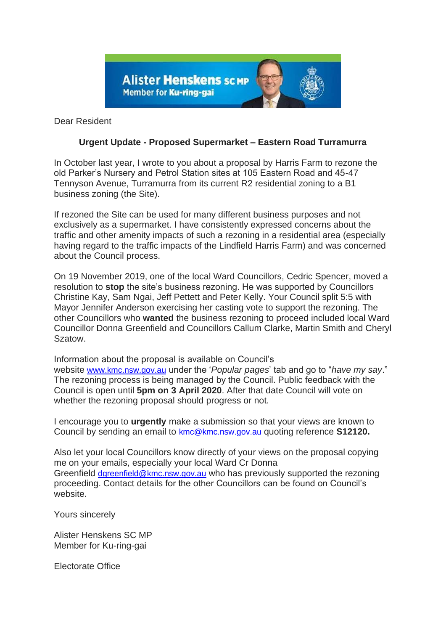

Dear Resident

## **Urgent Update - Proposed Supermarket – Eastern Road Turramurra**

In October last year, I wrote to you about a proposal by Harris Farm to rezone the old Parker's Nursery and Petrol Station sites at 105 Eastern Road and 45-47 Tennyson Avenue, Turramurra from its current R2 residential zoning to a B1 business zoning (the Site).

If rezoned the Site can be used for many different business purposes and not exclusively as a supermarket. I have consistently expressed concerns about the traffic and other amenity impacts of such a rezoning in a residential area (especially having regard to the traffic impacts of the Lindfield Harris Farm) and was concerned about the Council process.

On 19 November 2019, one of the local Ward Councillors, Cedric Spencer, moved a resolution to **stop** the site's business rezoning. He was supported by Councillors Christine Kay, Sam Ngai, Jeff Pettett and Peter Kelly. Your Council split 5:5 with Mayor Jennifer Anderson exercising her casting vote to support the rezoning. The other Councillors who **wanted** the business rezoning to proceed included local Ward Councillor Donna Greenfield and Councillors Callum Clarke, Martin Smith and Cheryl Szatow.

Information about the proposal is available on Council's website [www.kmc.nsw.gov.au](http://www.kmc.nsw.gov.au/) under the '*Popular pages*' tab and go to "*have my say*." The rezoning process is being managed by the Council. Public feedback with the Council is open until **5pm on 3 April 2020**. After that date Council will vote on whether the rezoning proposal should progress or not.

I encourage you to **urgently** make a submission so that your views are known to Council by sending an email to [kmc@kmc.nsw.gov.au](mailto:kmc@kmc.nsw.gov.au) quoting reference **S12120.**

Also let your local Councillors know directly of your views on the proposal copying me on your emails, especially your local Ward Cr Donna Greenfield [dgreenfield@kmc.nsw.gov.au](mailto:dgreenfield@kmc.nsw.gov.au) who has previously supported the rezoning proceeding. Contact details for the other Councillors can be found on Council's website.

Yours sincerely

Alister Henskens SC MP Member for Ku-ring-gai

Electorate Office